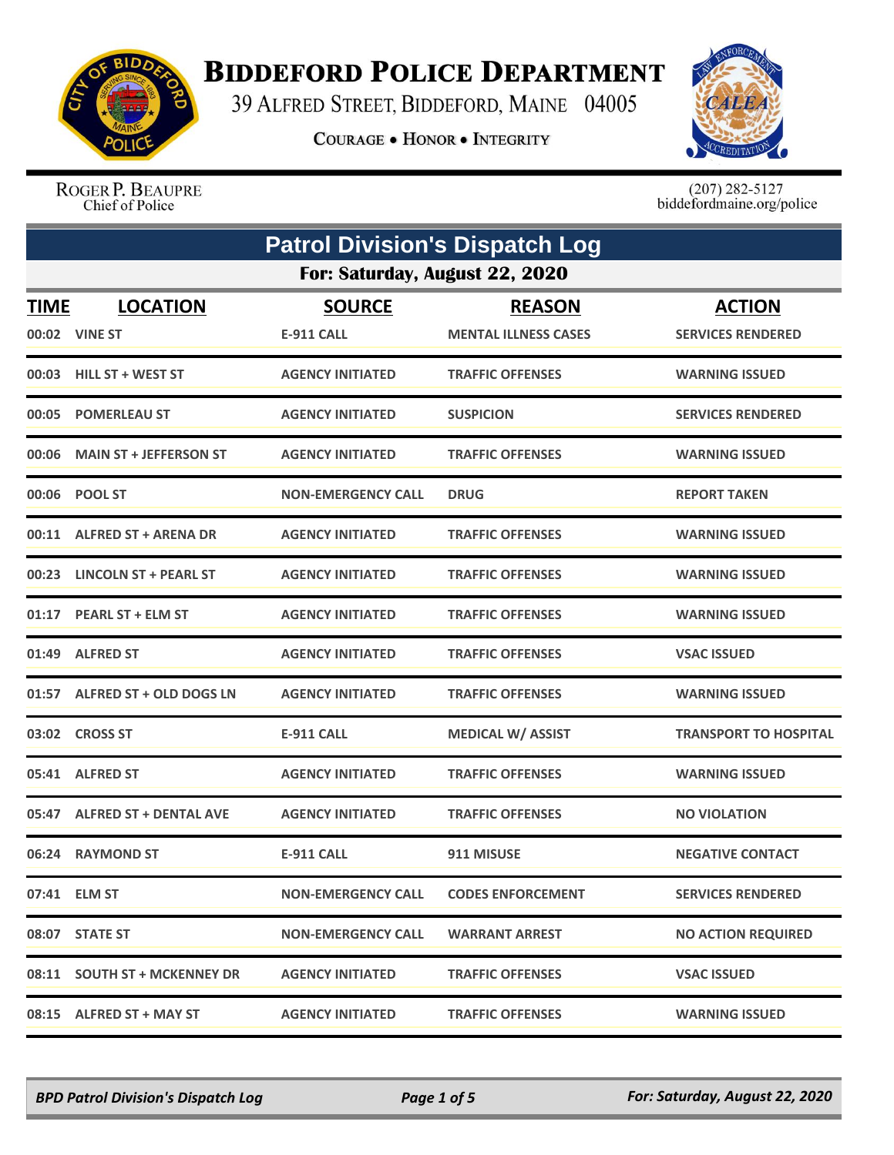

## **BIDDEFORD POLICE DEPARTMENT**

39 ALFRED STREET, BIDDEFORD, MAINE 04005

**COURAGE . HONOR . INTEGRITY** 



ROGER P. BEAUPRE Chief of Police

 $(207)$  282-5127<br>biddefordmaine.org/police

|             | <b>Patrol Division's Dispatch Log</b> |                                    |                                              |                                           |
|-------------|---------------------------------------|------------------------------------|----------------------------------------------|-------------------------------------------|
|             | For: Saturday, August 22, 2020        |                                    |                                              |                                           |
| <b>TIME</b> | <b>LOCATION</b><br>00:02 VINE ST      | <b>SOURCE</b><br><b>E-911 CALL</b> | <b>REASON</b><br><b>MENTAL ILLNESS CASES</b> | <b>ACTION</b><br><b>SERVICES RENDERED</b> |
|             | 00:03 HILL ST + WEST ST               | <b>AGENCY INITIATED</b>            | <b>TRAFFIC OFFENSES</b>                      | <b>WARNING ISSUED</b>                     |
|             | 00:05 POMERLEAU ST                    | <b>AGENCY INITIATED</b>            | <b>SUSPICION</b>                             | <b>SERVICES RENDERED</b>                  |
| 00:06       | <b>MAIN ST + JEFFERSON ST</b>         | <b>AGENCY INITIATED</b>            | <b>TRAFFIC OFFENSES</b>                      | <b>WARNING ISSUED</b>                     |
|             | 00:06 POOL ST                         | <b>NON-EMERGENCY CALL</b>          | <b>DRUG</b>                                  | <b>REPORT TAKEN</b>                       |
|             | 00:11 ALFRED ST + ARENA DR            | <b>AGENCY INITIATED</b>            | <b>TRAFFIC OFFENSES</b>                      | <b>WARNING ISSUED</b>                     |
|             | 00:23 LINCOLN ST + PEARL ST           | <b>AGENCY INITIATED</b>            | <b>TRAFFIC OFFENSES</b>                      | <b>WARNING ISSUED</b>                     |
| 01:17       | <b>PEARL ST + ELM ST</b>              | <b>AGENCY INITIATED</b>            | <b>TRAFFIC OFFENSES</b>                      | <b>WARNING ISSUED</b>                     |
|             | 01:49 ALFRED ST                       | <b>AGENCY INITIATED</b>            | <b>TRAFFIC OFFENSES</b>                      | <b>VSAC ISSUED</b>                        |
|             | 01:57 ALFRED ST + OLD DOGS LN         | <b>AGENCY INITIATED</b>            | <b>TRAFFIC OFFENSES</b>                      | <b>WARNING ISSUED</b>                     |
|             | 03:02 CROSS ST                        | <b>E-911 CALL</b>                  | <b>MEDICAL W/ ASSIST</b>                     | <b>TRANSPORT TO HOSPITAL</b>              |
|             | 05:41 ALFRED ST                       | <b>AGENCY INITIATED</b>            | <b>TRAFFIC OFFENSES</b>                      | <b>WARNING ISSUED</b>                     |
|             | 05:47 ALFRED ST + DENTAL AVE          | <b>AGENCY INITIATED</b>            | <b>TRAFFIC OFFENSES</b>                      | <b>NO VIOLATION</b>                       |
|             | 06:24 RAYMOND ST                      | <b>E-911 CALL</b>                  | 911 MISUSE                                   | <b>NEGATIVE CONTACT</b>                   |
|             | 07:41 ELM ST                          | <b>NON-EMERGENCY CALL</b>          | <b>CODES ENFORCEMENT</b>                     | <b>SERVICES RENDERED</b>                  |
|             | 08:07 STATE ST                        | <b>NON-EMERGENCY CALL</b>          | <b>WARRANT ARREST</b>                        | <b>NO ACTION REQUIRED</b>                 |
|             | 08:11 SOUTH ST + MCKENNEY DR          | <b>AGENCY INITIATED</b>            | <b>TRAFFIC OFFENSES</b>                      | <b>VSAC ISSUED</b>                        |
|             | 08:15 ALFRED ST + MAY ST              | <b>AGENCY INITIATED</b>            | <b>TRAFFIC OFFENSES</b>                      | <b>WARNING ISSUED</b>                     |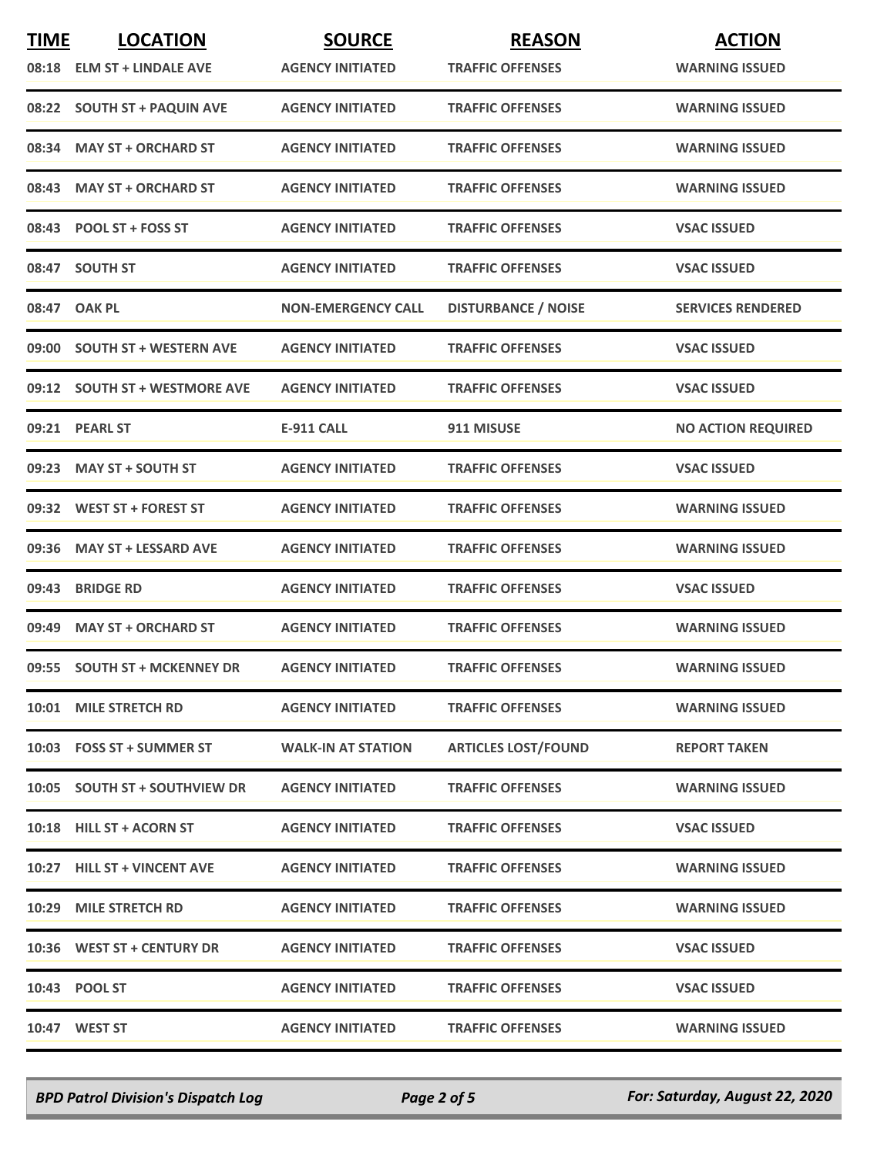| <b>TIME</b> | <b>LOCATION</b>               | <b>SOURCE</b>             | <b>REASON</b>              | <b>ACTION</b>             |
|-------------|-------------------------------|---------------------------|----------------------------|---------------------------|
|             | 08:18 ELM ST + LINDALE AVE    | <b>AGENCY INITIATED</b>   | <b>TRAFFIC OFFENSES</b>    | <b>WARNING ISSUED</b>     |
|             | 08:22 SOUTH ST + PAQUIN AVE   | <b>AGENCY INITIATED</b>   | <b>TRAFFIC OFFENSES</b>    | <b>WARNING ISSUED</b>     |
| 08:34       | <b>MAY ST + ORCHARD ST</b>    | <b>AGENCY INITIATED</b>   | <b>TRAFFIC OFFENSES</b>    | <b>WARNING ISSUED</b>     |
|             | 08:43 MAY ST + ORCHARD ST     | <b>AGENCY INITIATED</b>   | <b>TRAFFIC OFFENSES</b>    | <b>WARNING ISSUED</b>     |
|             | 08:43 POOL ST + FOSS ST       | <b>AGENCY INITIATED</b>   | <b>TRAFFIC OFFENSES</b>    | <b>VSAC ISSUED</b>        |
| 08:47       | <b>SOUTH ST</b>               | <b>AGENCY INITIATED</b>   | <b>TRAFFIC OFFENSES</b>    | <b>VSAC ISSUED</b>        |
|             | 08:47 OAK PL                  | <b>NON-EMERGENCY CALL</b> | <b>DISTURBANCE / NOISE</b> | <b>SERVICES RENDERED</b>  |
|             | 09:00 SOUTH ST + WESTERN AVE  | <b>AGENCY INITIATED</b>   | <b>TRAFFIC OFFENSES</b>    | <b>VSAC ISSUED</b>        |
|             | 09:12 SOUTH ST + WESTMORE AVE | <b>AGENCY INITIATED</b>   | <b>TRAFFIC OFFENSES</b>    | <b>VSAC ISSUED</b>        |
|             | 09:21 PEARL ST                | <b>E-911 CALL</b>         | 911 MISUSE                 | <b>NO ACTION REQUIRED</b> |
|             | 09:23 MAY ST + SOUTH ST       | <b>AGENCY INITIATED</b>   | <b>TRAFFIC OFFENSES</b>    | <b>VSAC ISSUED</b>        |
|             | 09:32 WEST ST + FOREST ST     | <b>AGENCY INITIATED</b>   | <b>TRAFFIC OFFENSES</b>    | <b>WARNING ISSUED</b>     |
| 09:36       | <b>MAY ST + LESSARD AVE</b>   | <b>AGENCY INITIATED</b>   | <b>TRAFFIC OFFENSES</b>    | <b>WARNING ISSUED</b>     |
| 09:43       | <b>BRIDGE RD</b>              | <b>AGENCY INITIATED</b>   | <b>TRAFFIC OFFENSES</b>    | <b>VSAC ISSUED</b>        |
| 09:49       | <b>MAY ST + ORCHARD ST</b>    | <b>AGENCY INITIATED</b>   | <b>TRAFFIC OFFENSES</b>    | <b>WARNING ISSUED</b>     |
|             | 09:55 SOUTH ST + MCKENNEY DR  | <b>AGENCY INITIATED</b>   | <b>TRAFFIC OFFENSES</b>    | <b>WARNING ISSUED</b>     |
|             | 10:01 MILE STRETCH RD         | <b>AGENCY INITIATED</b>   | <b>TRAFFIC OFFENSES</b>    | <b>WARNING ISSUED</b>     |
|             | 10:03 FOSS ST + SUMMER ST     | <b>WALK-IN AT STATION</b> | <b>ARTICLES LOST/FOUND</b> | <b>REPORT TAKEN</b>       |
|             | 10:05 SOUTH ST + SOUTHVIEW DR | <b>AGENCY INITIATED</b>   | <b>TRAFFIC OFFENSES</b>    | <b>WARNING ISSUED</b>     |
|             | 10:18 HILL ST + ACORN ST      | <b>AGENCY INITIATED</b>   | <b>TRAFFIC OFFENSES</b>    | <b>VSAC ISSUED</b>        |
|             | 10:27 HILL ST + VINCENT AVE   | <b>AGENCY INITIATED</b>   | <b>TRAFFIC OFFENSES</b>    | <b>WARNING ISSUED</b>     |
|             | 10:29 MILE STRETCH RD         | <b>AGENCY INITIATED</b>   | <b>TRAFFIC OFFENSES</b>    | <b>WARNING ISSUED</b>     |
|             | 10:36 WEST ST + CENTURY DR    | <b>AGENCY INITIATED</b>   | <b>TRAFFIC OFFENSES</b>    | <b>VSAC ISSUED</b>        |
|             | 10:43 POOL ST                 | <b>AGENCY INITIATED</b>   | <b>TRAFFIC OFFENSES</b>    | <b>VSAC ISSUED</b>        |
|             | 10:47 WEST ST                 | <b>AGENCY INITIATED</b>   | <b>TRAFFIC OFFENSES</b>    | <b>WARNING ISSUED</b>     |

*BPD Patrol Division's Dispatch Log Page 2 of 5 For: Saturday, August 22, 2020*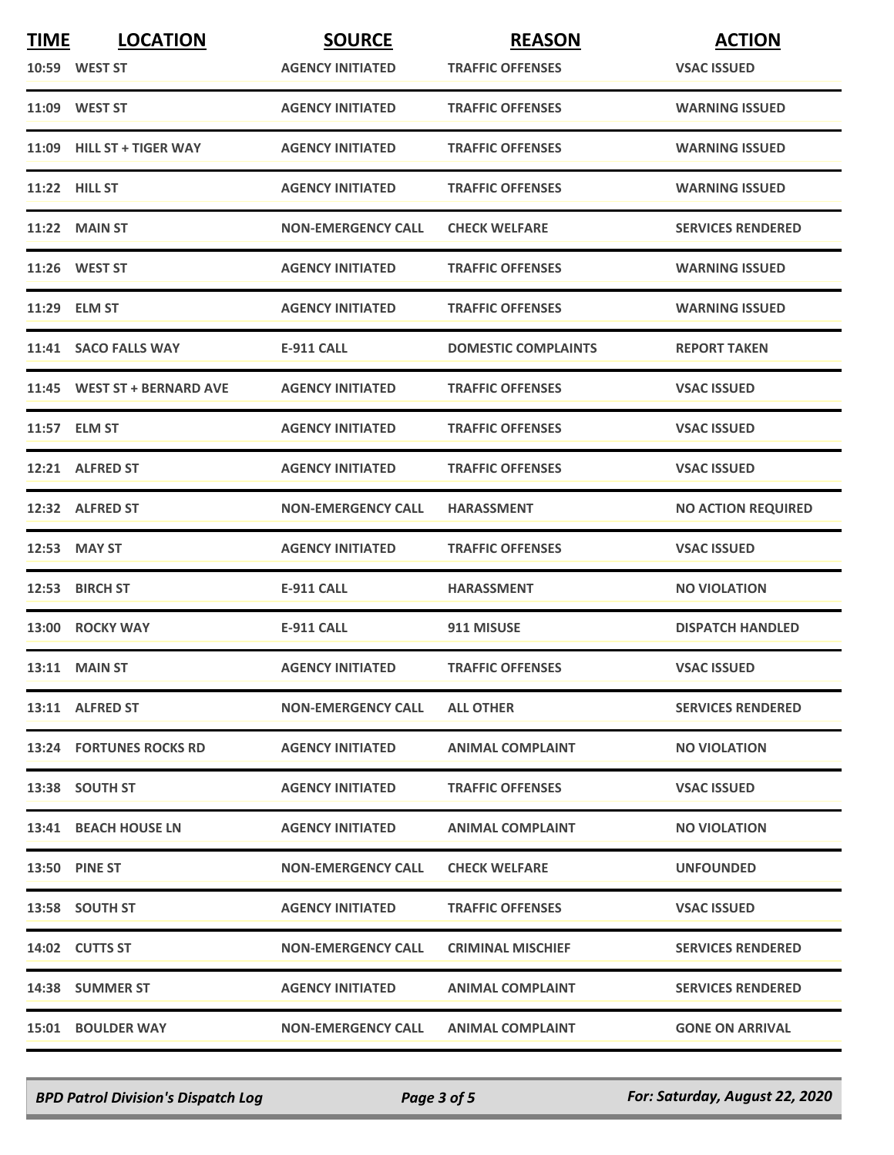| <b>TIME</b> | <b>LOCATION</b>             | <b>SOURCE</b>             | <b>REASON</b>              | <b>ACTION</b>             |
|-------------|-----------------------------|---------------------------|----------------------------|---------------------------|
|             | 10:59 WEST ST               | <b>AGENCY INITIATED</b>   | <b>TRAFFIC OFFENSES</b>    | <b>VSAC ISSUED</b>        |
|             | 11:09 WEST ST               | <b>AGENCY INITIATED</b>   | <b>TRAFFIC OFFENSES</b>    | <b>WARNING ISSUED</b>     |
|             | 11:09 HILL ST + TIGER WAY   | <b>AGENCY INITIATED</b>   | <b>TRAFFIC OFFENSES</b>    | <b>WARNING ISSUED</b>     |
|             | <b>11:22 HILL ST</b>        | <b>AGENCY INITIATED</b>   | <b>TRAFFIC OFFENSES</b>    | <b>WARNING ISSUED</b>     |
|             | <b>11:22 MAIN ST</b>        | <b>NON-EMERGENCY CALL</b> | <b>CHECK WELFARE</b>       | <b>SERVICES RENDERED</b>  |
|             | 11:26 WEST ST               | <b>AGENCY INITIATED</b>   | <b>TRAFFIC OFFENSES</b>    | <b>WARNING ISSUED</b>     |
|             | 11:29 ELM ST                | <b>AGENCY INITIATED</b>   | <b>TRAFFIC OFFENSES</b>    | <b>WARNING ISSUED</b>     |
|             | 11:41 SACO FALLS WAY        | <b>E-911 CALL</b>         | <b>DOMESTIC COMPLAINTS</b> | <b>REPORT TAKEN</b>       |
|             | 11:45 WEST ST + BERNARD AVE | <b>AGENCY INITIATED</b>   | <b>TRAFFIC OFFENSES</b>    | <b>VSAC ISSUED</b>        |
|             | 11:57 ELM ST                | <b>AGENCY INITIATED</b>   | <b>TRAFFIC OFFENSES</b>    | <b>VSAC ISSUED</b>        |
|             | 12:21 ALFRED ST             | <b>AGENCY INITIATED</b>   | <b>TRAFFIC OFFENSES</b>    | <b>VSAC ISSUED</b>        |
|             | 12:32 ALFRED ST             | <b>NON-EMERGENCY CALL</b> | <b>HARASSMENT</b>          | <b>NO ACTION REQUIRED</b> |
|             | 12:53 MAY ST                | <b>AGENCY INITIATED</b>   | <b>TRAFFIC OFFENSES</b>    | <b>VSAC ISSUED</b>        |
|             | 12:53 BIRCH ST              | <b>E-911 CALL</b>         | <b>HARASSMENT</b>          | <b>NO VIOLATION</b>       |
|             | 13:00 ROCKY WAY             | <b>E-911 CALL</b>         | 911 MISUSE                 | <b>DISPATCH HANDLED</b>   |
|             | <b>13:11 MAIN ST</b>        | <b>AGENCY INITIATED</b>   | <b>TRAFFIC OFFENSES</b>    | <b>VSAC ISSUED</b>        |
|             | 13:11 ALFRED ST             | <b>NON-EMERGENCY CALL</b> | <b>ALL OTHER</b>           | <b>SERVICES RENDERED</b>  |
|             | 13:24 FORTUNES ROCKS RD     | <b>AGENCY INITIATED</b>   | <b>ANIMAL COMPLAINT</b>    | <b>NO VIOLATION</b>       |
|             | 13:38 SOUTH ST              | <b>AGENCY INITIATED</b>   | <b>TRAFFIC OFFENSES</b>    | <b>VSAC ISSUED</b>        |
|             | 13:41 BEACH HOUSE LN        | <b>AGENCY INITIATED</b>   | <b>ANIMAL COMPLAINT</b>    | <b>NO VIOLATION</b>       |
|             | <b>13:50 PINE ST</b>        | <b>NON-EMERGENCY CALL</b> | <b>CHECK WELFARE</b>       | <b>UNFOUNDED</b>          |
|             | 13:58 SOUTH ST              | <b>AGENCY INITIATED</b>   | <b>TRAFFIC OFFENSES</b>    | <b>VSAC ISSUED</b>        |
|             | 14:02 CUTTS ST              | <b>NON-EMERGENCY CALL</b> | <b>CRIMINAL MISCHIEF</b>   | <b>SERVICES RENDERED</b>  |
|             | 14:38 SUMMER ST             | <b>AGENCY INITIATED</b>   | <b>ANIMAL COMPLAINT</b>    | <b>SERVICES RENDERED</b>  |
|             | <b>15:01 BOULDER WAY</b>    | <b>NON-EMERGENCY CALL</b> | <b>ANIMAL COMPLAINT</b>    | <b>GONE ON ARRIVAL</b>    |

*BPD Patrol Division's Dispatch Log Page 3 of 5 For: Saturday, August 22, 2020*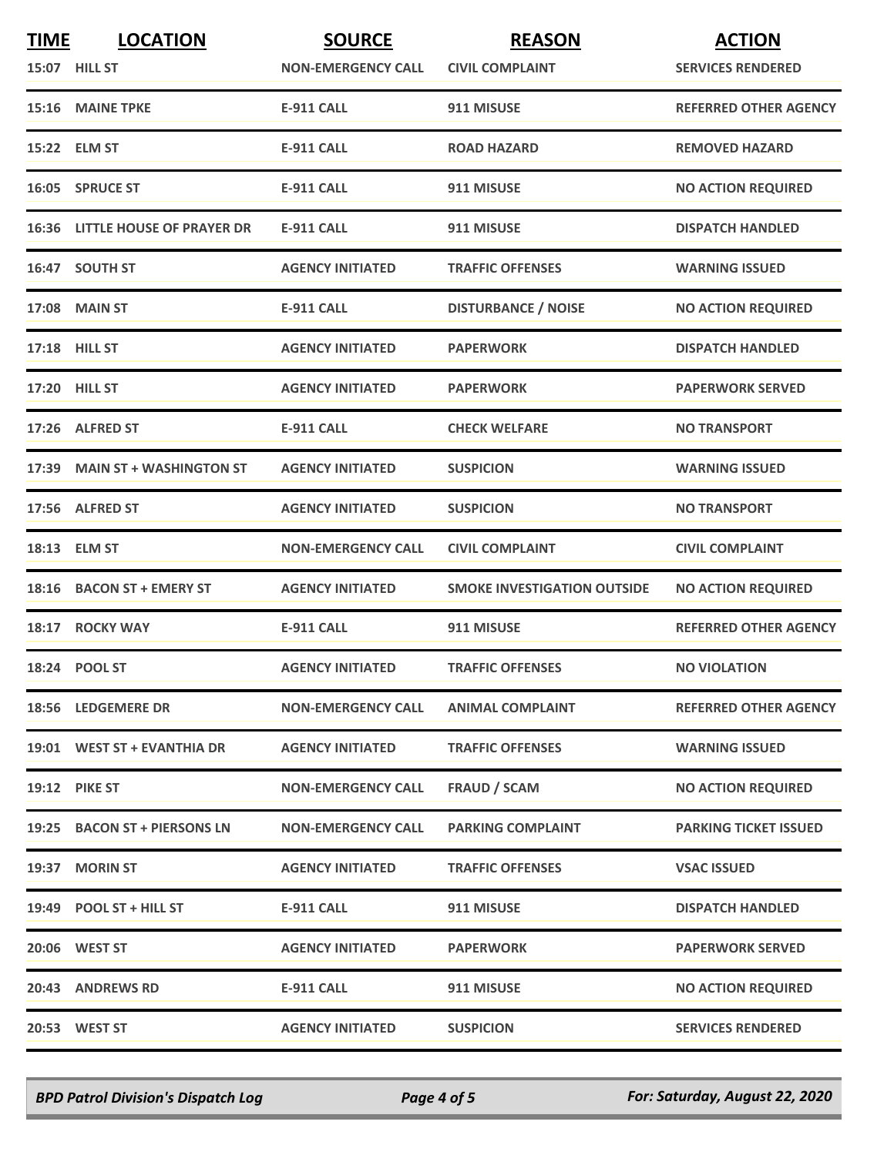| <b>TIME</b> | <b>LOCATION</b>                        | <b>SOURCE</b>             | <b>REASON</b>                      | <b>ACTION</b>                |
|-------------|----------------------------------------|---------------------------|------------------------------------|------------------------------|
|             | 15:07 HILL ST                          | <b>NON-EMERGENCY CALL</b> | <b>CIVIL COMPLAINT</b>             | <b>SERVICES RENDERED</b>     |
|             | 15:16 MAINE TPKE                       | <b>E-911 CALL</b>         | 911 MISUSE                         | <b>REFERRED OTHER AGENCY</b> |
|             | 15:22 ELM ST                           | <b>E-911 CALL</b>         | <b>ROAD HAZARD</b>                 | <b>REMOVED HAZARD</b>        |
|             | 16:05 SPRUCE ST                        | <b>E-911 CALL</b>         | 911 MISUSE                         | <b>NO ACTION REQUIRED</b>    |
|             | <b>16:36 LITTLE HOUSE OF PRAYER DR</b> | <b>E-911 CALL</b>         | 911 MISUSE                         | <b>DISPATCH HANDLED</b>      |
|             | 16:47 SOUTH ST                         | <b>AGENCY INITIATED</b>   | <b>TRAFFIC OFFENSES</b>            | <b>WARNING ISSUED</b>        |
|             | <b>17:08 MAIN ST</b>                   | <b>E-911 CALL</b>         | <b>DISTURBANCE / NOISE</b>         | <b>NO ACTION REQUIRED</b>    |
|             | 17:18 HILL ST                          | <b>AGENCY INITIATED</b>   | <b>PAPERWORK</b>                   | <b>DISPATCH HANDLED</b>      |
|             | 17:20 HILL ST                          | <b>AGENCY INITIATED</b>   | <b>PAPERWORK</b>                   | <b>PAPERWORK SERVED</b>      |
|             | 17:26 ALFRED ST                        | <b>E-911 CALL</b>         | <b>CHECK WELFARE</b>               | <b>NO TRANSPORT</b>          |
|             | 17:39 MAIN ST + WASHINGTON ST          | <b>AGENCY INITIATED</b>   | <b>SUSPICION</b>                   | <b>WARNING ISSUED</b>        |
|             | 17:56 ALFRED ST                        | <b>AGENCY INITIATED</b>   | <b>SUSPICION</b>                   | <b>NO TRANSPORT</b>          |
|             | 18:13 ELM ST                           | <b>NON-EMERGENCY CALL</b> | <b>CIVIL COMPLAINT</b>             | <b>CIVIL COMPLAINT</b>       |
|             | 18:16 BACON ST + EMERY ST              | <b>AGENCY INITIATED</b>   | <b>SMOKE INVESTIGATION OUTSIDE</b> | <b>NO ACTION REQUIRED</b>    |
|             | 18:17 ROCKY WAY                        | <b>E-911 CALL</b>         | 911 MISUSE                         | <b>REFERRED OTHER AGENCY</b> |
|             | 18:24 POOL ST                          | <b>AGENCY INITIATED</b>   | <b>TRAFFIC OFFENSES</b>            | <b>NO VIOLATION</b>          |
|             | 18:56 LEDGEMERE DR                     | <b>NON-EMERGENCY CALL</b> | <b>ANIMAL COMPLAINT</b>            | <b>REFERRED OTHER AGENCY</b> |
|             | 19:01 WEST ST + EVANTHIA DR            | <b>AGENCY INITIATED</b>   | <b>TRAFFIC OFFENSES</b>            | <b>WARNING ISSUED</b>        |
|             | <b>19:12 PIKE ST</b>                   | <b>NON-EMERGENCY CALL</b> | <b>FRAUD / SCAM</b>                | <b>NO ACTION REQUIRED</b>    |
|             | 19:25 BACON ST + PIERSONS LN           | <b>NON-EMERGENCY CALL</b> | <b>PARKING COMPLAINT</b>           | <b>PARKING TICKET ISSUED</b> |
|             | 19:37 MORIN ST                         | <b>AGENCY INITIATED</b>   | <b>TRAFFIC OFFENSES</b>            | <b>VSAC ISSUED</b>           |
|             | 19:49 POOL ST + HILL ST                | <b>E-911 CALL</b>         | 911 MISUSE                         | <b>DISPATCH HANDLED</b>      |
|             | 20:06 WEST ST                          | <b>AGENCY INITIATED</b>   | <b>PAPERWORK</b>                   | <b>PAPERWORK SERVED</b>      |
|             | 20:43 ANDREWS RD                       | <b>E-911 CALL</b>         | 911 MISUSE                         | <b>NO ACTION REQUIRED</b>    |
|             | 20:53 WEST ST                          | <b>AGENCY INITIATED</b>   | <b>SUSPICION</b>                   | <b>SERVICES RENDERED</b>     |

*BPD Patrol Division's Dispatch Log Page 4 of 5 For: Saturday, August 22, 2020*